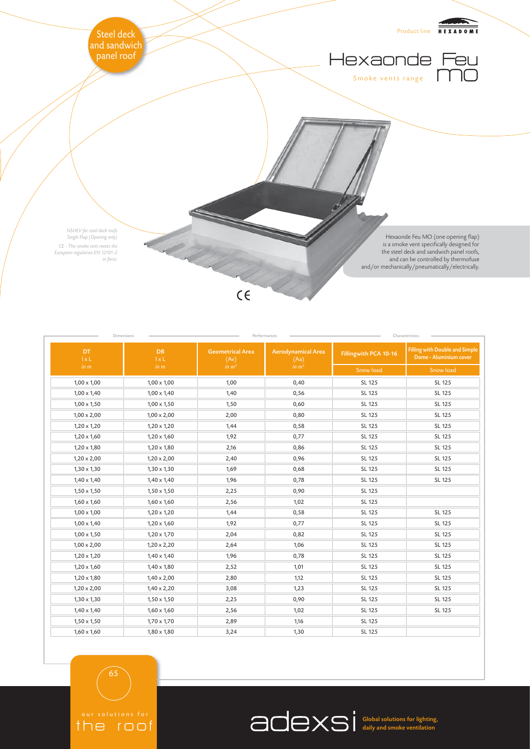

| DT.<br>$1 \times L$ | Dimensions<br><b>DB</b><br>1xL | <b>Geometrical Area</b><br>(Av) | Performances<br><b>Aerodynamical Area</b><br>(Aa) | Fillingwith PCA 10-16 | Characteristics<br><b>Filling with Double and Simple</b><br>Dome - Aluminium cover |
|---------------------|--------------------------------|---------------------------------|---------------------------------------------------|-----------------------|------------------------------------------------------------------------------------|
| in m                | in m                           | in $m2$                         | in $m2$                                           | Snow load             | Snow load                                                                          |
| $1,00 \times 1,00$  | $1,00 \times 1,00$             | 1,00                            | 0,40                                              | SL 125                | SL 125                                                                             |
| $1,00 \times 1,40$  | $1,00 \times 1,40$             | 1,40                            | 0,56                                              | SL 125                | SL 125                                                                             |
| $1,00 \times 1,50$  | $1,00 \times 1,50$             | 1,50                            | 0,60                                              | SL 125                | SL 125                                                                             |
| $1,00 \times 2,00$  | $1,00 \times 2,00$             | 2,00                            | 0,80                                              | SL 125                | SL 125                                                                             |
| $1,20 \times 1,20$  | $1,20 \times 1,20$             | 1,44                            | 0,58                                              | SL 125                | SL 125                                                                             |
| $1,20 \times 1,60$  | $1,20 \times 1,60$             | 1,92                            | 0,77                                              | SL 125                | SL 125                                                                             |
| $1,20 \times 1,80$  | $1,20 \times 1,80$             | 2,16                            | 0,86                                              | SL 125                | SL 125                                                                             |
| $1,20 \times 2,00$  | $1,20 \times 2,00$             | 2,40                            | 0,96                                              | SL 125                | SL 125                                                                             |
| $1,30 \times 1,30$  | $1,30 \times 1,30$             | 1,69                            | 0,68                                              | SL 125                | SL 125                                                                             |
| $1,40 \times 1,40$  | $1,40 \times 1,40$             | 1,96                            | 0,78                                              | SL 125                | SL 125                                                                             |
| $1,50 \times 1,50$  | $1,50 \times 1,50$             | 2,25                            | 0,90                                              | SL 125                |                                                                                    |
| $1,60 \times 1,60$  | $1,60 \times 1,60$             | 2,56                            | 1,02                                              | SL 125                |                                                                                    |
| $1,00 \times 1,00$  | $1,20 \times 1,20$             | 1,44                            | 0,58                                              | SL 125                | SL 125                                                                             |
| $1,00 \times 1,40$  | $1,20 \times 1,60$             | 1,92                            | 0,77                                              | SL 125                | SL 125                                                                             |
| $1,00 \times 1,50$  | $1,20 \times 1,70$             | 2,04                            | 0,82                                              | SL 125                | SL 125                                                                             |
| $1,00 \times 2,00$  | $1,20 \times 2,20$             | 2,64                            | 1,06                                              | SL 125                | SL 125                                                                             |
| $1,20 \times 1,20$  | $1,40 \times 1,40$             | 1,96                            | 0,78                                              | SL 125                | SL 125                                                                             |
| $1,20 \times 1,60$  | $1,40 \times 1,80$             | 2,52                            | 1,01                                              | SL 125                | SL 125                                                                             |
| $1,20 \times 1,80$  | $1,40 \times 2,00$             | 2,80                            | 1,12                                              | SL 125                | SL 125                                                                             |
| $1,20 \times 2,00$  | $1,40 \times 2,20$             | 3,08                            | 1,23                                              | SL 125                | SL 125                                                                             |
| $1,30 \times 1,30$  | $1,50 \times 1,50$             | 2,25                            | 0,90                                              | SL 125                | SL 125                                                                             |
| $1,40 \times 1,40$  | $1,60 \times 1,60$             | 2,56                            | 1,02                                              | SL 125                | SL 125                                                                             |
| $1,50 \times 1,50$  | $1,70 \times 1,70$             | 2,89                            | 1,16                                              | SL 125                |                                                                                    |
| $1,60 \times 1,60$  | $1,80 \times 1,80$             | 3,24                            | 1,30                                              | SL 125                |                                                                                    |

the roof

65

Global solutions for lighting, daily and smoke ventilation